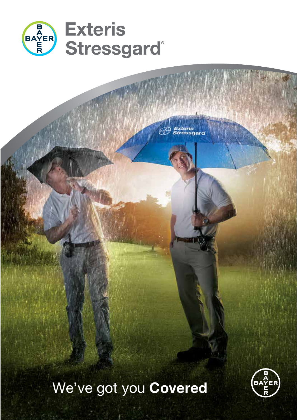

We've got you **Covered** 

*Exteris*<br>Stressgard

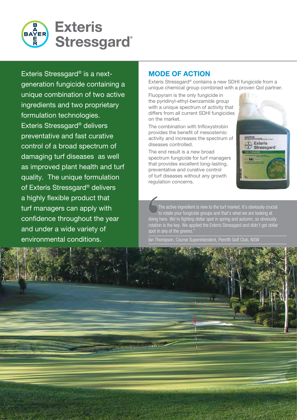

Exteris Stressgard® is a nextgeneration fungicide containing a unique combination of two active ingredients and two proprietary formulation technologies. Exteris Stressgard® delivers preventative and fast curative control of a broad spectrum of damaging turf diseases as well as improved plant health and turf quality. The unique formulation of Exteris Stressgard® delivers a highly flexible product that turf managers can apply with confidence throughout the year and under a wide variety of environmental conditions.

# **MODE OF ACTION**

Exteris Stressgard® contains a new SDHI fungicide from a unique chemical group combined with a proven QoI partner.

Fluopyram is the only fungicide in the pyridinyl-ethyl-benzamide group with a unique spectrum of activity that differs from all current SDHI fungicides on the market.

The combination with trifloxystrobin provides the benefit of mesostemic activity and increases the spectrum of diseases controlled.

The end result is a new broad spectrum fungicide for turf managers that provides excellent long-lasting, preventative and curative control of turf diseases without any growth regulation concerns.

The active ingredient is new to the turf market. It's obviously crucial to rotate your fungicide groups and that's what we are looking at doing here. We're fighting dollar spot in spring and autumn, so obviously rotation is the key. We applied the Exteris Stressgard and didn't get dollar spot in any of the greens.

Ian Thompson, Course Superintendent, Penrith Golf Club, NSW



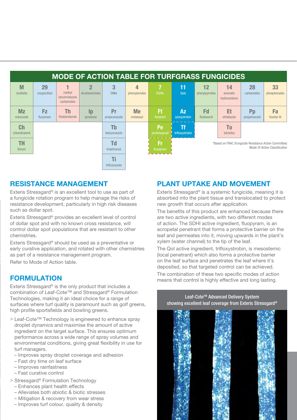| <b>MODE OF ACTION TABLE FOR TURFGRASS FUNGICIDES</b> |                        |                                       |                                  |                     |                        |                        |                                                                                         |                          |                                |                               |                    |
|------------------------------------------------------|------------------------|---------------------------------------|----------------------------------|---------------------|------------------------|------------------------|-----------------------------------------------------------------------------------------|--------------------------|--------------------------------|-------------------------------|--------------------|
| M<br>multisite                                       | 29<br>unspecified      | methyl<br>benzimidazole<br>carbamates | $\overline{2}$<br>dicarboximides | 3<br><b>DMIs</b>    | 4<br>phenylamides      | <b>SDHIS</b>           | 11<br>Qols                                                                              | 12<br>phenylpyrroles     | 14<br>aromatic<br>hydrocarbons | 28<br>carbamates              | 33<br>phosphonates |
| <b>Mz</b><br>mancozeb                                | <b>Fz</b><br>fluazinam | Th<br>thiabendazole                   | $\mathbf{p}$<br>iprodione        | Pr<br>propiconazole | <b>Me</b><br>metalaxyl | Ft<br>flutolanil       | <b>Az</b><br>azoxystrobin                                                               | <b>Fd</b><br>fludioxonil | Et<br>etridiazole              | P <sub>p</sub><br>propamocarb | Fa<br>fosetyl-Al   |
| <b>Ch</b><br>chlorothalonil                          |                        |                                       |                                  | Tb<br>tebuconazole  |                        | Pe<br>penthiopyrad     | Tf<br>trifloxystrobin                                                                   |                          | <b>To</b><br>tolclofos         |                               |                    |
| TH<br>thiram                                         |                        |                                       |                                  | Td<br>triadimenol   |                        | <b>Fr</b><br>fluopyram | *Based on FRAC (Fungicide Resistance Action Committee)<br>Mode Of Action Classification |                          |                                |                               |                    |
|                                                      |                        |                                       |                                  | Ti<br>triticonazole |                        |                        |                                                                                         |                          |                                |                               |                    |

#### **RESISTANCE MANAGEMENT**

Exteris Stressgard® is an excellent tool to use as part of a fungicide rotation program to help manage the risks of resistance development, particularly in high risk diseases such as dollar spot.

Exteris Stressgard® provides an excellent level of control of dollar spot and with no known cross resistance, will control dollar spot populations that are resistant to other chemistries.

Exteris Stressgard® should be used as a preventative or early curative application, and rotated with other chemistries as part of a resistance management program.

Refer to Mode of Action table.

#### **FORMULATION**

Exteris Stressgard® is the only product that includes a combination of Leaf-Cote™ and Stressgard® Formulation Technologies, making it an ideal choice for a range of surfaces where turf quality is paramount such as golf greens, high profile sportsfields and bowling greens.

- > Leaf-Cote™ Technology is engineered to enhance spray droplet dynamics and maximise the amount of active ingredient on the target surface. This ensures optimum performance across a wide range of spray volumes and environmental conditions, giving great flexibility in use for turf managers.
	- Improves spray droplet coverage and adhesion
	- Fast dry time on leaf surface
	- Improves rainfastness
	- Fast curative control
- > Stressgard® Formulation Technology
	- Enhances plant health effects
	- Alleviates both abiotic & biotic stresses
	- Mitigation & recovery from wear stress
	- Improves turf colour, quality & density

#### **PLANT UPTAKE AND MOVEMENT**

Exteris Stressgard<sup>®</sup> is a systemic fungicide, meaning it is absorbed into the plant tissue and translocated to protect new growth that occurs after application.

The benefits of this product are enhanced because there are two active ingredients, with two different modes of action. The SDHI active ingredient, fluopyram, is an acropetal penetrant that forms a protective barrier on the leaf and permeates into it, moving upwards in the plant's xylem (water channel) to the tip of the leaf.

The QoI active ingredient, trifloxystrobin, is mesostemic (local penetrant) which also forms a protective barrier on the leaf surface and penetrates the leaf where it's deposited, so that targeted control can be achieved.

The combination of these two specific modes of action means that control is highly effective and long lasting.

Leaf-Cote™ Advanced Delivery System showing excellent leaf coverage from Exteris Stressgard®

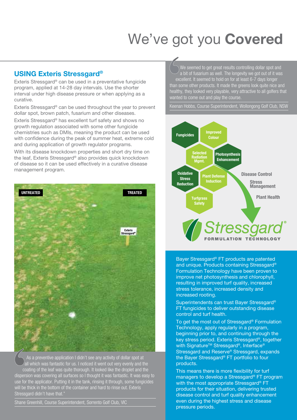# We've got you **Covered**

#### **USING Exteris Stressgard®**

Exteris Stressgard® can be used in a preventative fungicide program, applied at 14-28 day intervals. Use the shorter interval under high disease pressure or when applying as a curative.

Exteris Stressgard® can be used throughout the year to prevent dollar spot, brown patch, fusarium and other diseases.

Exteris Stressgard® has excellent turf safety and shows no growth regulation associated with some other fungicide chemistries such as DMIs, meaning the product can be used with confidence during the peak of summer heat, extreme cold and during application of growth regulator programs.

With its disease knockdown properties and short dry time on the leaf, Exteris Stressgard® also provides quick knockdown of disease so it can be used effectively in a curative disease management program.



 As a preventive application I didn't see any activity of dollar spot at all which was fantastic for us. I noticed it went out very evenly and the coating of the leaf was quite thorough. It looked like the droplet and the dispersion was covering all surfaces so I thought it was fantastic. It was easy to use for the applicator. Putting it in the tank, rinsing it through, some fungicides will be thick in the bottom of the container and hard to rinse out. Exteris Stressgard didn't have that."

Shane Greenhill, Course Superintendent, Sorrento Golf Club, VIC

We seemed to get great results controlling dollar spot and a bit of fusarium as well. The longevity we got out of it was excellent. It seemed to hold on for at least 6-7 days longer than some other products. It made the greens look quite nice and

healthy, they looked very playable, very attractive to all golfers that wanted to come out and play the course.

Keenan Hobbs, Course Superintendent, Wollongong Golf Club, NSW



Bayer Stressgard® FT products are patented and unique. Products containing Stressgard<sup>®</sup> Formulation Technology have been proven to improve net photosynthesis and chlorophyll, resulting in improved turf quality, increased stress tolerance, increased density and increased rooting.

Superintendents can trust Bayer Stressgard® FT fungicides to deliver outstanding disease control and turf health.

To get the most out of Stressgard® Formulation Technology, apply regularly in a program, beginning prior to, and continuing through the key stress period. Exteris Stressgard®, together with Signature<sup>™</sup> Stressgard®, Interface® Stressgard and Reserve® Stressgard, expands the Bayer Stressgard® FT portfolio to four products.

This means there is more flexibility for turf managers to develop a Stressgard® FT program with the most appropriate Stressgard® FT products for their situation, delivering trusted disease control and turf quality enhancement even during the highest stress and disease pressure periods.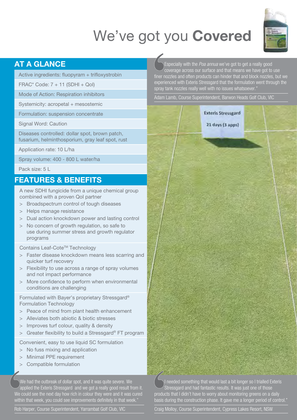# We've got you **Covered**



# **AT A GLANCE**

Active ingredients: fluopyram + trifloxystrobin

FRAC\* Code: 7 + 11 (SDHI + QoI)

Mode of Action: Respiration inhibitors

Systemicity: acropetal + mesostemic

Formulation: suspension concentrate

Signal Word: Caution

Diseases controlled: dollar spot, brown patch, fusarium, helminthosporium, gray leaf spot, rust

Application rate: 10 L/ha

Spray volume: 400 - 800 L water/ha

Pack size: 5 L

#### **FEATURES & BENEFITS**

A new SDHI fungicide from a unique chemical group combined with a proven QoI partner

- > Broadspectrum control of tough diseases
- > Helps manage resistance
- > Dual action knockdown power and lasting control
- > No concern of growth regulation, so safe to use during summer stress and growth regulator programs

Contains Leaf-Cote™ Technology

- > Faster disease knockdown means less scarring and quicker turf recovery
- > Flexibility to use across a range of spray volumes and not impact performance
- > More confidence to perform when environmental conditions are challenging

Formulated with Bayer's proprietary Stressgard® Formulation Technology

- > Peace of mind from plant health enhancement
- > Alleviates both abiotic & biotic stresses
- > Improves turf colour, quality & density
- > Greater flexibility to build a Stressgard® FT program

Convenient, easy to use liquid SC formulation

- > No fuss mixing and application
- > Minimal PPE requirement
- > Compatible formulation

We had the outbreak of dollar spot, and it was quite severe. We  $\alpha$  applied the Exteris Stressgard and we got a really good result from it. We could see the next day how rich in colour they were and it was cured within that week, you could see improvements definitely in that week.

Rob Harper, Course Superintendent, Yarrambat Golf Club, VIC

Especially with the *Poa annua* we've got to get a really good coverage across our surface and that means we have got to use finer nozzles and often products can hinder that and block nozzles, but we experienced with Exteris Stressgard that the formulation went through the spray tank nozzles really well with no issues whatsoever.

Adam Lamb, Course Superintendent, Barwon Heads Golf Club, VIC



 $21$  days (3 apps)

I needed something that would last a bit longer so I trialled Exteris Stressgard and had fantastic results. It was just one of those products that I didn't have to worry about monitoring greens on a daily basis during the construction phase. It gave me a longer period of control."

Craig Molloy, Course Superintendent, Cypress Lakes Resort, NSW